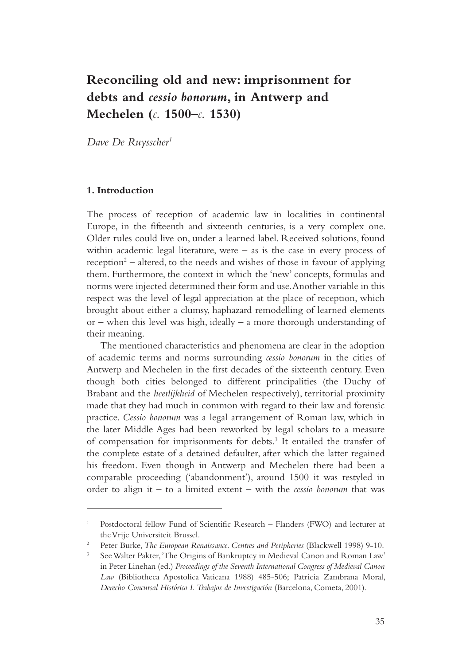# **Reconciling old and new: imprisonment for debts and** *cessio bonorum***, in Antwerp and Mechelen (***c.* **1500–***c.* **1530)**

*Dave De Ruysscher1*

#### **1. Introduction**

The process of reception of academic law in localities in continental Europe, in the fifteenth and sixteenth centuries, is a very complex one. Older rules could live on, under a learned label. Received solutions, found within academic legal literature, were  $-$  as is the case in every process of reception<sup>2</sup> – altered, to the needs and wishes of those in favour of applying them. Furthermore, the context in which the 'new' concepts, formulas and norms were injected determined their form and use. Another variable in this respect was the level of legal appreciation at the place of reception, which brought about either a clumsy, haphazard remodelling of learned elements or – when this level was high, ideally – a more thorough understanding of their meaning.

The mentioned characteristics and phenomena are clear in the adoption of academic terms and norms surrounding *cessio bonorum* in the cities of Antwerp and Mechelen in the first decades of the sixteenth century. Even though both cities belonged to different principalities (the Duchy of Brabant and the *heerlijkheid* of Mechelen respectively), territorial proximity made that they had much in common with regard to their law and forensic practice. *Cessio bonorum* was a legal arrangement of Roman law, which in the later Middle Ages had been reworked by legal scholars to a measure of compensation for imprisonments for debts.<sup>3</sup> It entailed the transfer of the complete estate of a detained defaulter, after which the latter regained his freedom. Even though in Antwerp and Mechelen there had been a comparable proceeding ('abandonment'), around 1500 it was restyled in order to align it – to a limited extent – with the *cessio bonorum* that was

<sup>1</sup> Postdoctoral fellow Fund of Scientific Research – Flanders (FWO) and lecturer at the Vrije Universiteit Brussel.

<sup>2</sup> Peter Burke, *The European Renaissance. Centres and Peripheries* (Blackwell 1998) 9-10.

<sup>3</sup> See Walter Pakter, 'The Origins of Bankruptcy in Medieval Canon and Roman Law' in Peter Linehan (ed.) *Proceedings of the Seventh International Congress of Medieval Canon Law* (Bibliotheca Apostolica Vaticana 1988) 485-506; Patricia Zambrana Moral, *Derecho Concursal Histórico I. Trabajos de Investigación* (Barcelona, Cometa, 2001).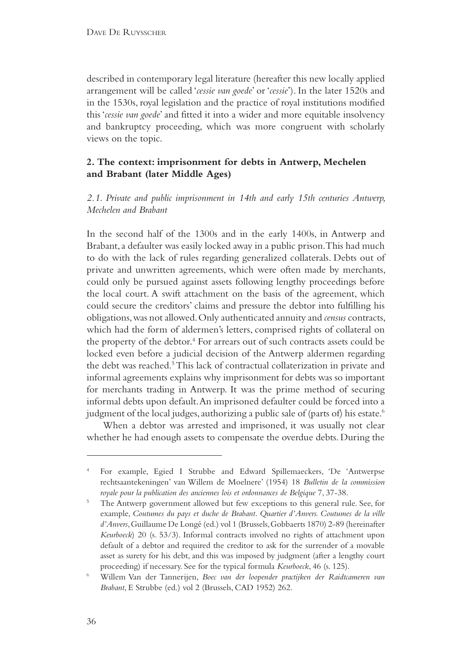described in contemporary legal literature (hereafter this new locally applied arrangement will be called '*cessie van goede*' or '*cessie*'). In the later 1520s and in the 1530s, royal legislation and the practice of royal institutions modified this '*cessie van goede*' and fitted it into a wider and more equitable insolvency and bankruptcy proceeding, which was more congruent with scholarly views on the topic.

# **2. The context: imprisonment for debts in Antwerp, Mechelen and Brabant (later Middle Ages)**

*2.1. Private and public imprisonment in 14th and early 15th centuries Antwerp, Mechelen and Brabant*

In the second half of the 1300s and in the early 1400s, in Antwerp and Brabant, a defaulter was easily locked away in a public prison. This had much to do with the lack of rules regarding generalized collaterals. Debts out of private and unwritten agreements, which were often made by merchants, could only be pursued against assets following lengthy proceedings before the local court. A swift attachment on the basis of the agreement, which could secure the creditors' claims and pressure the debtor into fulfilling his obligations, was not allowed. Only authenticated annuity and *census* contracts, which had the form of aldermen's letters, comprised rights of collateral on the property of the debtor.<sup>4</sup> For arrears out of such contracts assets could be locked even before a judicial decision of the Antwerp aldermen regarding the debt was reached.<sup>5</sup> This lack of contractual collaterization in private and informal agreements explains why imprisonment for debts was so important for merchants trading in Antwerp. It was the prime method of securing informal debts upon default. An imprisoned defaulter could be forced into a judgment of the local judges, authorizing a public sale of (parts of) his estate.<sup>6</sup>

 When a debtor was arrested and imprisoned, it was usually not clear whether he had enough assets to compensate the overdue debts. During the

<sup>4</sup> For example, Egied I Strubbe and Edward Spillemaeckers, 'De 'Antwerpse rechtsaantekeningen' van Willem de Moelnere' (1954) 18 *Bulletin de la commission royale pour la publication des anciennes lois et ordonnances de Belgique* 7, 37-38.

<sup>&</sup>lt;sup>5</sup> The Antwerp government allowed but few exceptions to this general rule. See, for example, *Coutumes du pays et duche de Brabant. Quartier d'Anvers. Coutumes de la ville d'Anvers*, Guillaume De Longé (ed.) vol 1 (Brussels, Gobbaerts 1870) 2-89 (hereinafter *Keurboeck*) 20 (s. 53/3). Informal contracts involved no rights of attachment upon default of a debtor and required the creditor to ask for the surrender of a movable asset as surety for his debt, and this was imposed by judgment (after a lengthy court proceeding) if necessary. See for the typical formula *Keurboeck*, 46 (s. 125).

<sup>6</sup> Willem Van der Tannerijen, *Boec van der loopender practijken der Raidtcameren van Brabant*, E Strubbe (ed.) vol 2 (Brussels, CAD 1952) 262.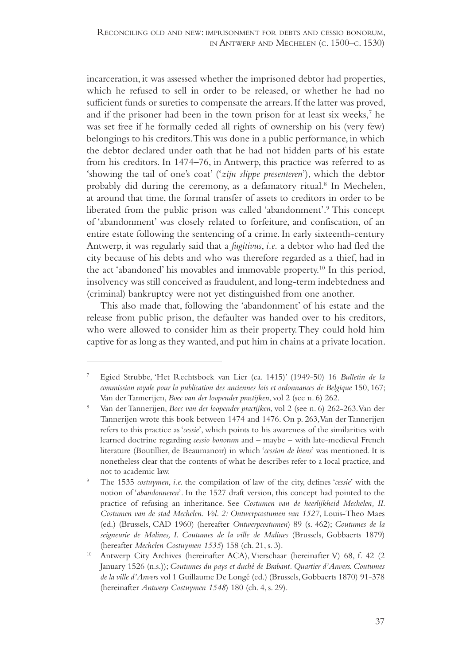incarceration, it was assessed whether the imprisoned debtor had properties, which he refused to sell in order to be released, or whether he had no sufficient funds or sureties to compensate the arrears. If the latter was proved, and if the prisoner had been in the town prison for at least six weeks,<sup>7</sup> he was set free if he formally ceded all rights of ownership on his (very few) belongings to his creditors. This was done in a public performance, in which the debtor declared under oath that he had not hidden parts of his estate from his creditors. In 1474–76, in Antwerp, this practice was referred to as 'showing the tail of one's coat' ('*zijn slippe presenteren*'), which the debtor probably did during the ceremony, as a defamatory ritual.<sup>8</sup> In Mechelen, at around that time, the formal transfer of assets to creditors in order to be liberated from the public prison was called 'abandonment'.9 This concept of 'abandonment' was closely related to forfeiture, and confiscation, of an entire estate following the sentencing of a crime. In early sixteenth-century Antwerp, it was regularly said that a *fugitivus*, *i.e.* a debtor who had fled the city because of his debts and who was therefore regarded as a thief, had in the act 'abandoned' his movables and immovable property.10 In this period, insolvency was still conceived as fraudulent, and long-term indebtedness and (criminal) bankruptcy were not yet distinguished from one another.

This also made that, following the 'abandonment' of his estate and the release from public prison, the defaulter was handed over to his creditors, who were allowed to consider him as their property. They could hold him captive for as long as they wanted, and put him in chains at a private location.

<sup>7</sup> Egied Strubbe, 'Het Rechtsboek van Lier (ca. 1415)' (1949-50) 16 *Bulletin de la commission royale pour la publication des anciennes lois et ordonnances de Belgique* 150, 167;

Van der Tannerijen, *Boec van der loopender practijken*, vol 2 (see n. 6) 262. 8 Van der Tannerijen, *Boec van der loopender practijken*, vol 2 (see n. 6) 262-263. Van der Tannerijen wrote this book between 1474 and 1476. On p. 263, Van der Tannerijen refers to this practice as '*cessie*', which points to his awareness of the similarities with learned doctrine regarding *cessio bonorum* and – maybe – with late-medieval French literature (Boutillier, de Beaumanoir) in which '*cession de biens*' was mentioned. It is nonetheless clear that the contents of what he describes refer to a local practice, and not to academic law.

<sup>9</sup> The 1535 *costuymen*, *i.e.* the compilation of law of the city, defines '*cessie*' with the notion of '*abandonneren*'. In the 1527 draft version, this concept had pointed to the practice of refusing an inheritance. See *Costumen van de heerlijkheid Mechelen, II. Costumen van de stad Mechelen. Vol. 2: Ontwerpcostumen van 1527*, Louis-Theo Maes (ed.) (Brussels, CAD 1960) (hereafter *Ontwerpcostumen*) 89 (s. 462); *Coutumes de la seigneurie de Malines, I. Coutumes de la ville de Malines* (Brussels, Gobbaerts 1879) (hereafter *Mechelen Costuymen 1535*) 158 (ch. 21, s. 3).

<sup>10</sup> Antwerp City Archives (hereinafter ACA), Vierschaar (hereinafter V) 68, f. 42 (2 January 1526 (n.s.)); *Coutumes du pays et duché de Brabant. Quartier d'Anvers. Coutumes de la ville d'Anvers* vol 1 Guillaume De Longé (ed.) (Brussels, Gobbaerts 1870) 91-378 (hereinafter *Antwerp Costuymen 1548*) 180 (ch. 4, s. 29).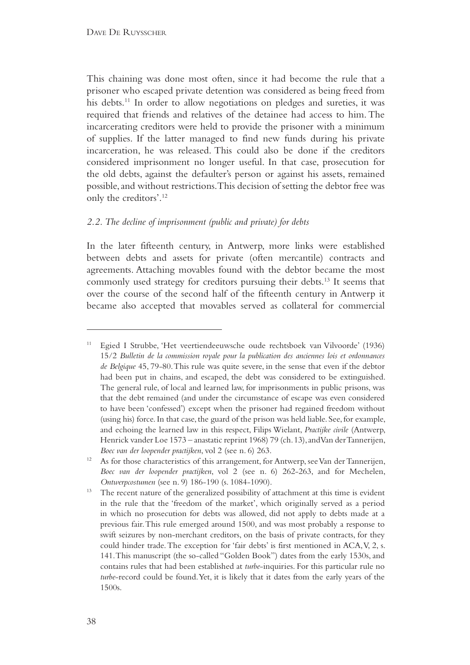This chaining was done most often, since it had become the rule that a prisoner who escaped private detention was considered as being freed from his debts.<sup>11</sup> In order to allow negotiations on pledges and sureties, it was required that friends and relatives of the detainee had access to him. The incarcerating creditors were held to provide the prisoner with a minimum of supplies. If the latter managed to find new funds during his private incarceration, he was released. This could also be done if the creditors considered imprisonment no longer useful. In that case, prosecution for the old debts, against the defaulter's person or against his assets, remained possible, and without restrictions. This decision of setting the debtor free was only the creditors'.12

### *2.2. The decline of imprisonment (public and private) for debts*

In the later fifteenth century, in Antwerp, more links were established between debts and assets for private (often mercantile) contracts and agreements. Attaching movables found with the debtor became the most commonly used strategy for creditors pursuing their debts.13 It seems that over the course of the second half of the fifteenth century in Antwerp it became also accepted that movables served as collateral for commercial

<sup>11</sup> Egied I Strubbe, 'Het veertiendeeuwsche oude rechtsboek van Vilvoorde' (1936) 15/2 *Bulletin de la commission royale pour la publication des anciennes lois et ordonnances de Belgique* 45, 79-80. This rule was quite severe, in the sense that even if the debtor had been put in chains, and escaped, the debt was considered to be extinguished. The general rule, of local and learned law, for imprisonments in public prisons, was that the debt remained (and under the circumstance of escape was even considered to have been 'confessed') except when the prisoner had regained freedom without (using his) force. In that case, the guard of the prison was held liable. See, for example, and echoing the learned law in this respect, Filips Wielant, *Practijke civile* (Antwerp, Henrick vander Loe 1573 – anastatic reprint 1968) 79 (ch. 13), and Van der Tannerijen,

*Boec van der loopender practijken*, vol 2 (see n. 6) 263.<br><sup>12</sup> As for those characteristics of this arrangement, for Antwerp, see Van der Tannerijen, *Boec van der loopender practijken*, vol 2 (see n. 6) 262-263, and for Mechelen, *Ontwerpcostumen* (see n. 9) 186-190 (s. 1084-1090).

The recent nature of the generalized possibility of attachment at this time is evident in the rule that the 'freedom of the market', which originally served as a period in which no prosecution for debts was allowed, did not apply to debts made at a previous fair. This rule emerged around 1500, and was most probably a response to swift seizures by non-merchant creditors, on the basis of private contracts, for they could hinder trade. The exception for 'fair debts' is first mentioned in ACA, V, 2, s. 141. This manuscript (the so-called "Golden Book") dates from the early 1530s, and contains rules that had been established at *turbe*-inquiries. For this particular rule no *turbe*-record could be found. Yet, it is likely that it dates from the early years of the 1500s.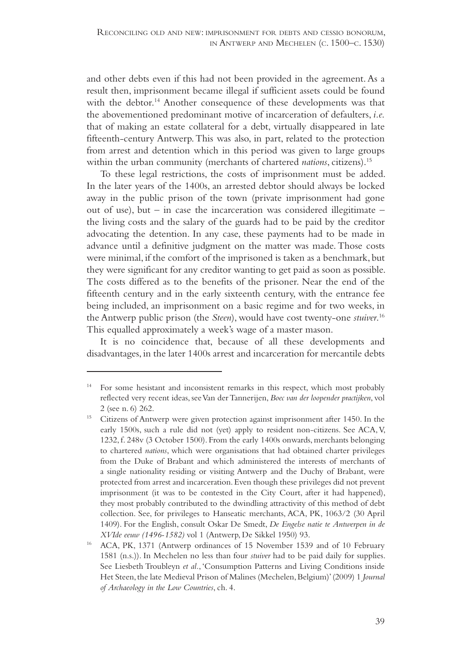and other debts even if this had not been provided in the agreement. As a result then, imprisonment became illegal if sufficient assets could be found with the debtor.<sup>14</sup> Another consequence of these developments was that the abovementioned predominant motive of incarceration of defaulters, *i.e.* that of making an estate collateral for a debt, virtually disappeared in late fifteenth-century Antwerp. This was also, in part, related to the protection from arrest and detention which in this period was given to large groups within the urban community (merchants of chartered *nations*, citizens).<sup>15</sup>

To these legal restrictions, the costs of imprisonment must be added. In the later years of the 1400s, an arrested debtor should always be locked away in the public prison of the town (private imprisonment had gone out of use), but – in case the incarceration was considered illegitimate – the living costs and the salary of the guards had to be paid by the creditor advocating the detention. In any case, these payments had to be made in advance until a definitive judgment on the matter was made. Those costs were minimal, if the comfort of the imprisoned is taken as a benchmark, but they were significant for any creditor wanting to get paid as soon as possible. The costs differed as to the benefits of the prisoner. Near the end of the fifteenth century and in the early sixteenth century, with the entrance fee being included, an imprisonment on a basic regime and for two weeks, in the Antwerp public prison (the *Steen*), would have cost twenty-one *stuiver*. 16 This equalled approximately a week's wage of a master mason.

It is no coincidence that, because of all these developments and disadvantages, in the later 1400s arrest and incarceration for mercantile debts

<sup>14</sup> For some hesistant and inconsistent remarks in this respect, which most probably reflected very recent ideas, see Van der Tannerijen, *Boec van der loopender practijken*, vol 2 (see n. 6) 262.<br><sup>15</sup> Citizens of Antwerp were given protection against imprisonment after 1450. In the

early 1500s, such a rule did not (yet) apply to resident non-citizens. See ACA, V, 1232, f. 248v (3 October 1500). From the early 1400s onwards, merchants belonging to chartered *nations*, which were organisations that had obtained charter privileges from the Duke of Brabant and which administered the interests of merchants of a single nationality residing or visiting Antwerp and the Duchy of Brabant, were protected from arrest and incarceration. Even though these privileges did not prevent imprisonment (it was to be contested in the City Court, after it had happened), they most probably contributed to the dwindling attractivity of this method of debt collection. See, for privileges to Hanseatic merchants, ACA, PK, 1063/2 (30 April 1409). For the English, consult Oskar De Smedt, *De Engelse natie te Antwerpen in de XVIde eeuw (1496-1582)* vol 1 (Antwerp, De Sikkel 1950) 93.

<sup>16</sup> ACA, PK, 1371 (Antwerp ordinances of 15 November 1539 and of 10 February 1581 (n.s.)). In Mechelen no less than four *stuiver* had to be paid daily for supplies. See Liesbeth Troubleyn *et al.*, 'Consumption Patterns and Living Conditions inside Het Steen, the late Medieval Prison of Malines (Mechelen, Belgium)' (2009) 1 *Journal of Archaeology in the Low Countries*, ch. 4.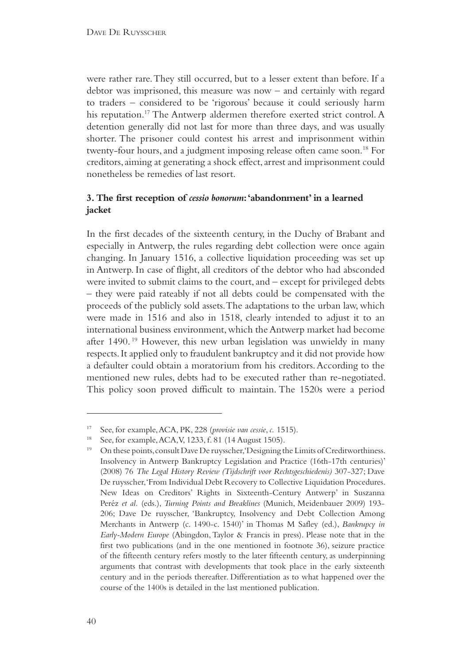were rather rare. They still occurred, but to a lesser extent than before. If a debtor was imprisoned, this measure was now – and certainly with regard to traders – considered to be 'rigorous' because it could seriously harm his reputation.<sup>17</sup> The Antwerp aldermen therefore exerted strict control. A detention generally did not last for more than three days, and was usually shorter. The prisoner could contest his arrest and imprisonment within twenty-four hours, and a judgment imposing release often came soon.18 For creditors, aiming at generating a shock effect, arrest and imprisonment could nonetheless be remedies of last resort.

## **3. The first reception of** *cessio bonorum***: 'abandonment' in a learned jacket**

In the first decades of the sixteenth century, in the Duchy of Brabant and especially in Antwerp, the rules regarding debt collection were once again changing. In January 1516, a collective liquidation proceeding was set up in Antwerp. In case of flight, all creditors of the debtor who had absconded were invited to submit claims to the court, and – except for privileged debts – they were paid rateably if not all debts could be compensated with the proceeds of the publicly sold assets. The adaptations to the urban law, which were made in 1516 and also in 1518, clearly intended to adjust it to an international business environment, which the Antwerp market had become after 1490. 19 However, this new urban legislation was unwieldy in many respects. It applied only to fraudulent bankruptcy and it did not provide how a defaulter could obtain a moratorium from his creditors. According to the mentioned new rules, debts had to be executed rather than re-negotiated. This policy soon proved difficult to maintain. The 1520s were a period

See, for example, ACA, PK, 228 (*provisie van cessie*, *c.* 1515).

See, for example, ACA, V, 1233, f. 81 (14 August 1505).

<sup>&</sup>lt;sup>19</sup> On these points, consult Dave De ruysscher, 'Designing the Limits of Creditworthiness. Insolvency in Antwerp Bankruptcy Legislation and Practice (16th-17th centuries)' (2008) 76 *The Legal History Review (Tijdschrift voor Rechtsgeschiedenis)* 307-327; Dave De ruysscher, 'From Individual Debt Recovery to Collective Liquidation Procedures. New Ideas on Creditors' Rights in Sixteenth-Century Antwerp' in Suszanna Peréz *et al.* (eds.), *Turning Points and Breaklines* (Munich, Meidenbauer 2009) 193- 206; Dave De ruysscher, 'Bankruptcy, Insolvency and Debt Collection Among Merchants in Antwerp (c. 1490-c. 1540)' in Thomas M Safley (ed.), *Bankrupcy in Early-Modern Europe* (Abingdon, Taylor & Francis in press). Please note that in the first two publications (and in the one mentioned in footnote 36), seizure practice of the fifteenth century refers mostly to the later fifteenth century, as underpinning arguments that contrast with developments that took place in the early sixteenth century and in the periods thereafter. Differentiation as to what happened over the course of the 1400s is detailed in the last mentioned publication.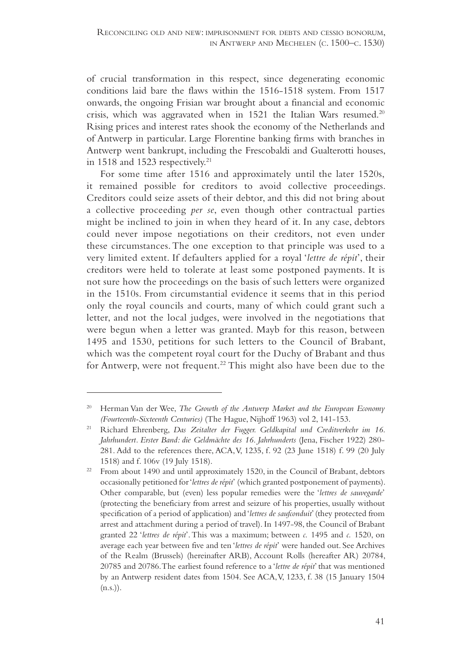of crucial transformation in this respect, since degenerating economic conditions laid bare the flaws within the 1516-1518 system. From 1517 onwards, the ongoing Frisian war brought about a financial and economic crisis, which was aggravated when in 1521 the Italian Wars resumed.<sup>20</sup> Rising prices and interest rates shook the economy of the Netherlands and of Antwerp in particular. Large Florentine banking firms with branches in Antwerp went bankrupt, including the Frescobaldi and Gualterotti houses, in 1518 and 1523 respectively.<sup>21</sup>

For some time after 1516 and approximately until the later 1520s, it remained possible for creditors to avoid collective proceedings. Creditors could seize assets of their debtor, and this did not bring about a collective proceeding *per se*, even though other contractual parties might be inclined to join in when they heard of it. In any case, debtors could never impose negotiations on their creditors, not even under these circumstances. The one exception to that principle was used to a very limited extent. If defaulters applied for a royal '*lettre de répit*', their creditors were held to tolerate at least some postponed payments. It is not sure how the proceedings on the basis of such letters were organized in the 1510s. From circumstantial evidence it seems that in this period only the royal councils and courts, many of which could grant such a letter, and not the local judges, were involved in the negotiations that were begun when a letter was granted. Mayb for this reason, between 1495 and 1530, petitions for such letters to the Council of Brabant, which was the competent royal court for the Duchy of Brabant and thus for Antwerp, were not frequent.<sup>22</sup> This might also have been due to the

Herman Van der Wee, *The Growth of the Antwerp Market and the European Economy (Fourteenth-Sixteenth Centuries)* (The Hague, Nijhoff 1963) vol 2, 141-153.

<sup>21</sup> Richard Ehrenberg, *Das Zeitalter der Fugger. Geldkapital und Creditverkehr im 16. Jahrhundert. Erster Band: die Geldmächte des 16. Jahrhunderts* (Jena, Fischer 1922) 280- 281. Add to the references there, ACA, V, 1235, f. 92 (23 June 1518) f. 99 (20 July 1518) and f. 106v (19 July 1518).

 $22$  From about 1490 and until approximately 1520, in the Council of Brabant, debtors occasionally petitioned for '*lettres de répit*' (which granted postponement of payments). Other comparable, but (even) less popular remedies were the '*lettres de sauvegarde*' (protecting the beneficiary from arrest and seizure of his properties, usually without specification of a period of application) and '*lettres de saufconduit*' (they protected from arrest and attachment during a period of travel). In 1497-98, the Council of Brabant granted 22 '*lettres de répit*'. This was a maximum; between *c.* 1495 and *c.* 1520, on average each year between five and ten '*lettres de répit*' were handed out. See Archives of the Realm (Brussels) (hereinafter ARB), Account Rolls (hereafter AR) 20784, 20785 and 20786. The earliest found reference to a '*lettre de répit*' that was mentioned by an Antwerp resident dates from 1504. See ACA, V, 1233, f. 38 (15 January 1504  $(n.s.)$ ).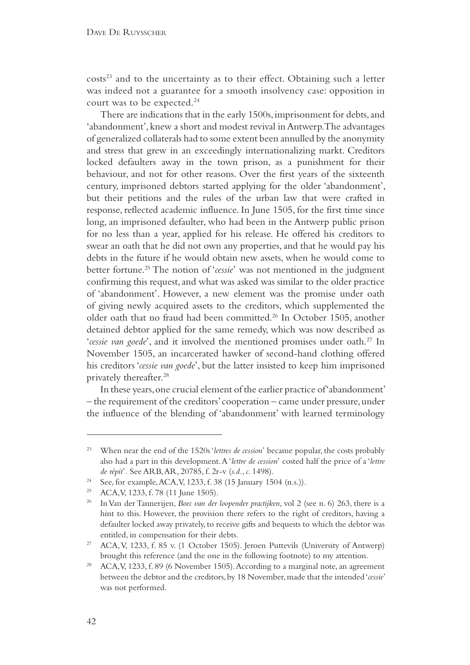costs<sup>23</sup> and to the uncertainty as to their effect. Obtaining such a letter was indeed not a guarantee for a smooth insolvency case: opposition in court was to be expected.24

There are indications that in the early 1500s, imprisonment for debts, and 'abandonment', knew a short and modest revival in Antwerp. The advantages of generalized collaterals had to some extent been annulled by the anonymity and stress that grew in an exceedingly internationalizing markt. Creditors locked defaulters away in the town prison, as a punishment for their behaviour, and not for other reasons. Over the first years of the sixteenth century, imprisoned debtors started applying for the older 'abandonment', but their petitions and the rules of the urban law that were crafted in response, reflected academic influence. In June 1505, for the first time since long, an imprisoned defaulter, who had been in the Antwerp public prison for no less than a year, applied for his release. He offered his creditors to swear an oath that he did not own any properties, and that he would pay his debts in the future if he would obtain new assets, when he would come to better fortune.25 The notion of '*cessie*' was not mentioned in the judgment confirming this request, and what was asked was similar to the older practice of 'abandonment'. However, a new element was the promise under oath of giving newly acquired assets to the creditors, which supplemented the older oath that no fraud had been committed.26 In October 1505, another detained debtor applied for the same remedy, which was now described as '*cessie van goede*', and it involved the mentioned promises under oath.27 In November 1505, an incarcerated hawker of second-hand clothing offered his creditors '*cessie van goede*', but the latter insisted to keep him imprisoned privately thereafter.28

In these years, one crucial element of the earlier practice of 'abandonment' – the requirement of the creditors' cooperation – came under pressure, under the influence of the blending of 'abandonment' with learned terminology

<sup>23</sup> When near the end of the 1520s '*lettres de cession*' became popular, the costs probably also had a part in this development. A '*lettre de cession*' costed half the price of a '*lettre de répit*<sup>'</sup>. See ARB, AR, 20785, f. 2r-v (*s.d.*, *c.* 1498).<br><sup>24</sup> See, for example, ACA, V, 1233, f. 38 (15 January 1504 (n.s.)).

<sup>&</sup>lt;sup>25</sup> ACA, V, 1233, f. 78 (11 June 1505).

<sup>26</sup> In Van der Tannerijen, *Boec van der loopender practijken*, vol 2 (see n. 6) 263, there is a hint to this. However, the provision there refers to the right of creditors, having a defaulter locked away privately, to receive gifts and bequests to which the debtor was entitled, in compensation for their debts.

<sup>&</sup>lt;sup>27</sup> ACA, V, 1233, f. 85 v. (1 October 1505). Jeroen Puttevils (University of Antwerp) brought this reference (and the one in the following footnote) to my attention.

<sup>&</sup>lt;sup>28</sup> ACA, V, 1233, f. 89 (6 November 1505). According to a marginal note, an agreement between the debtor and the creditors, by 18 November, made that the intended '*cessie*' was not performed.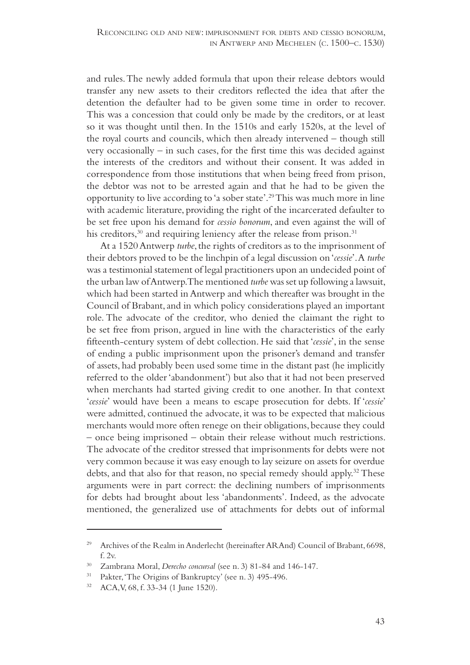and rules. The newly added formula that upon their release debtors would transfer any new assets to their creditors reflected the idea that after the detention the defaulter had to be given some time in order to recover. This was a concession that could only be made by the creditors, or at least so it was thought until then. In the 1510s and early 1520s, at the level of the royal courts and councils, which then already intervened – though still very occasionally  $-$  in such cases, for the first time this was decided against the interests of the creditors and without their consent. It was added in correspondence from those institutions that when being freed from prison, the debtor was not to be arrested again and that he had to be given the opportunity to live according to 'a sober state'.29 This was much more in line with academic literature, providing the right of the incarcerated defaulter to be set free upon his demand for *cessio bonorum*, and even against the will of his creditors,<sup>30</sup> and requiring leniency after the release from prison.<sup>31</sup>

At a 1520 Antwerp *turbe*, the rights of creditors as to the imprisonment of their debtors proved to be the linchpin of a legal discussion on '*cessie*'. A *turbe* was a testimonial statement of legal practitioners upon an undecided point of the urban law of Antwerp. The mentioned *turbe* was set up following a lawsuit, which had been started in Antwerp and which thereafter was brought in the Council of Brabant, and in which policy considerations played an important role. The advocate of the creditor, who denied the claimant the right to be set free from prison, argued in line with the characteristics of the early fifteenth-century system of debt collection. He said that '*cessie*', in the sense of ending a public imprisonment upon the prisoner's demand and transfer of assets, had probably been used some time in the distant past (he implicitly referred to the older 'abandonment') but also that it had not been preserved when merchants had started giving credit to one another. In that context '*cessie*' would have been a means to escape prosecution for debts. If '*cessie*' were admitted, continued the advocate, it was to be expected that malicious merchants would more often renege on their obligations, because they could – once being imprisoned – obtain their release without much restrictions. The advocate of the creditor stressed that imprisonments for debts were not very common because it was easy enough to lay seizure on assets for overdue debts, and that also for that reason, no special remedy should apply.<sup>32</sup> These arguments were in part correct: the declining numbers of imprisonments for debts had brought about less 'abandonments'. Indeed, as the advocate mentioned, the generalized use of attachments for debts out of informal

<sup>29</sup> Archives of the Realm in Anderlecht (hereinafter ARAnd) Council of Brabant, 6698, f. 2v.

<sup>30</sup> Zambrana Moral, *Derecho concursal* (see n. 3) 81-84 and 146-147.

<sup>&</sup>lt;sup>31</sup> Pakter, 'The Origins of Bankruptcy' (see n. 3) 495-496.<br><sup>32</sup> ACA, V, 68, f. 33-34 (1 June 1520).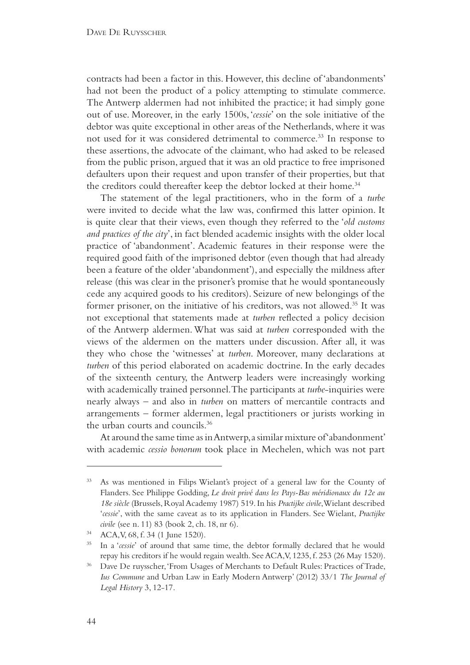contracts had been a factor in this. However, this decline of 'abandonments' had not been the product of a policy attempting to stimulate commerce. The Antwerp aldermen had not inhibited the practice; it had simply gone out of use. Moreover, in the early 1500s, '*cessie*' on the sole initiative of the debtor was quite exceptional in other areas of the Netherlands, where it was not used for it was considered detrimental to commerce.33 In response to these assertions, the advocate of the claimant, who had asked to be released from the public prison, argued that it was an old practice to free imprisoned defaulters upon their request and upon transfer of their properties, but that the creditors could thereafter keep the debtor locked at their home.<sup>34</sup>

The statement of the legal practitioners, who in the form of a *turbe*  were invited to decide what the law was, confirmed this latter opinion. It is quite clear that their views, even though they referred to the '*old customs and practices of the city*', in fact blended academic insights with the older local practice of 'abandonment'. Academic features in their response were the required good faith of the imprisoned debtor (even though that had already been a feature of the older 'abandonment'), and especially the mildness after release (this was clear in the prisoner's promise that he would spontaneously cede any acquired goods to his creditors). Seizure of new belongings of the former prisoner, on the initiative of his creditors, was not allowed.35 It was not exceptional that statements made at *turben* reflected a policy decision of the Antwerp aldermen. What was said at *turben* corresponded with the views of the aldermen on the matters under discussion. After all, it was they who chose the 'witnesses' at *turben*. Moreover, many declarations at *turben* of this period elaborated on academic doctrine. In the early decades of the sixteenth century, the Antwerp leaders were increasingly working with academically trained personnel. The participants at *turbe*-inquiries were nearly always – and also in *turben* on matters of mercantile contracts and arrangements – former aldermen, legal practitioners or jurists working in the urban courts and councils.36

At around the same time as in Antwerp, a similar mixture of 'abandonment' with academic *cessio bonorum* took place in Mechelen, which was not part

<sup>33</sup> As was mentioned in Filips Wielant's project of a general law for the County of Flanders. See Philippe Godding, *Le droit privé dans les Pays-Bas méridionaux du 12e au 18e siècle* (Brussels, Royal Academy 1987) 519. In his *Practijke civile*, Wielant described '*cessie*', with the same caveat as to its application in Flanders. See Wielant, *Practijke civile* (see n. 11) 83 (book 2, ch. 18, nr 6).

<sup>34</sup> ACA, V, 68, f. 34 (1 June 1520).

<sup>35</sup> In a '*cessie*' of around that same time, the debtor formally declared that he would repay his creditors if he would regain wealth. See ACA, V, 1235, f, 253 (26 May 1520).

Dave De ruysscher, 'From Usages of Merchants to Default Rules: Practices of Trade, *Ius Commune* and Urban Law in Early Modern Antwerp' (2012) 33/1 *The Journal of Legal History* 3, 12-17.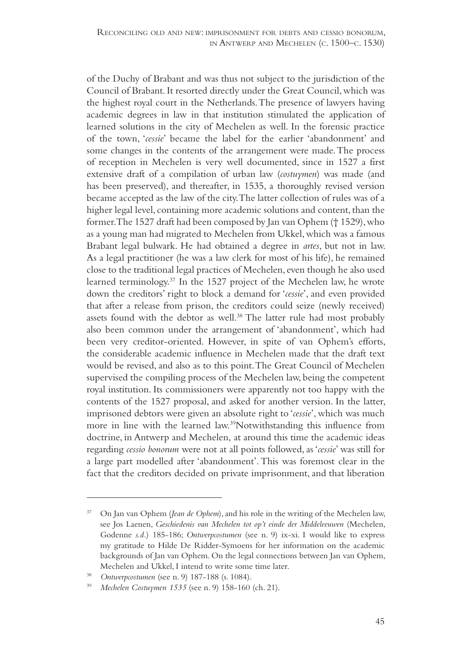of the Duchy of Brabant and was thus not subject to the jurisdiction of the Council of Brabant. It resorted directly under the Great Council, which was the highest royal court in the Netherlands. The presence of lawyers having academic degrees in law in that institution stimulated the application of learned solutions in the city of Mechelen as well. In the forensic practice of the town, '*cessie*' became the label for the earlier 'abandonment' and some changes in the contents of the arrangement were made. The process of reception in Mechelen is very well documented, since in 1527 a first extensive draft of a compilation of urban law (*costuymen*) was made (and has been preserved), and thereafter, in 1535, a thoroughly revised version became accepted as the law of the city. The latter collection of rules was of a higher legal level, containing more academic solutions and content, than the former. The 1527 draft had been composed by Jan van Ophem († 1529), who as a young man had migrated to Mechelen from Ukkel, which was a famous Brabant legal bulwark. He had obtained a degree in *artes*, but not in law. As a legal practitioner (he was a law clerk for most of his life), he remained close to the traditional legal practices of Mechelen, even though he also used learned terminology.37 In the 1527 project of the Mechelen law, he wrote down the creditors' right to block a demand for '*cessie*', and even provided that after a release from prison, the creditors could seize (newly received) assets found with the debtor as well.<sup>38</sup> The latter rule had most probably also been common under the arrangement of 'abandonment', which had been very creditor-oriented. However, in spite of van Ophem's efforts, the considerable academic influence in Mechelen made that the draft text would be revised, and also as to this point. The Great Council of Mechelen supervised the compiling process of the Mechelen law, being the competent royal institution. Its commissioners were apparently not too happy with the contents of the 1527 proposal, and asked for another version. In the latter, imprisoned debtors were given an absolute right to '*cessie*', which was much more in line with the learned law.39Notwithstanding this influence from doctrine, in Antwerp and Mechelen, at around this time the academic ideas regarding *cessio bonorum* were not at all points followed, as '*cessie*' was still for a large part modelled after 'abandonment'. This was foremost clear in the fact that the creditors decided on private imprisonment, and that liberation

<sup>37</sup> On Jan van Ophem (*Jean de Ophem*), and his role in the writing of the Mechelen law, see Jos Laenen, *Geschiedenis van Mechelen tot op't einde der Middeleeuwen* (Mechelen, Godenne *s.d.*) 185-186; *Ontwerpcostumen* (see n. 9) ix-xi. I would like to express my gratitude to Hilde De Ridder-Symoens for her information on the academic backgrounds of Jan van Ophem. On the legal connections between Jan van Ophem, Mechelen and Ukkel, I intend to write some time later.

<sup>38</sup> *Ontwerpcostumen* (see n. 9) 187-188 (s. 1084). 39 *Mechelen Costuymen 1535* (see n. 9) 158-160 (ch. 21).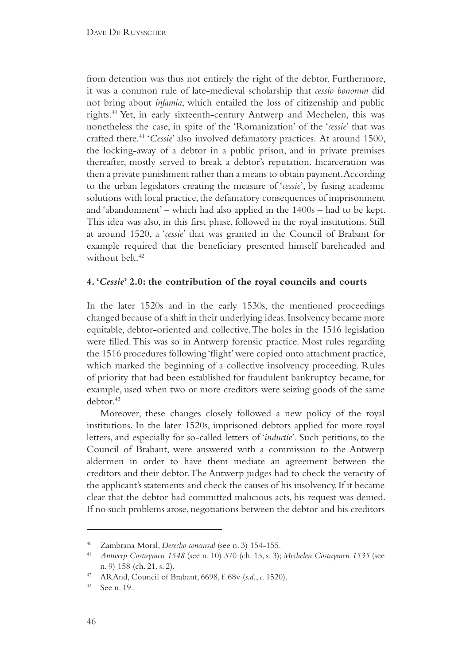from detention was thus not entirely the right of the debtor. Furthermore, it was a common rule of late-medieval scholarship that *cessio bonorum* did not bring about *infamia*, which entailed the loss of citizenship and public rights.40 Yet, in early sixteenth-century Antwerp and Mechelen, this was nonetheless the case, in spite of the 'Romanization' of the '*cessie*' that was crafted there.41 '*Cessie*' also involved defamatory practices. At around 1500, the locking-away of a debtor in a public prison, and in private premises thereafter, mostly served to break a debtor's reputation. Incarceration was then a private punishment rather than a means to obtain payment. According to the urban legislators creating the measure of '*cessie*', by fusing academic solutions with local practice, the defamatory consequences of imprisonment and 'abandonment' – which had also applied in the 1400s – had to be kept. This idea was also, in this first phase, followed in the royal institutions. Still at around 1520, a '*cessie*' that was granted in the Council of Brabant for example required that the beneficiary presented himself bareheaded and without belt.<sup>42</sup>

#### **4. '***Cessie***' 2.0: the contribution of the royal councils and courts**

In the later 1520s and in the early 1530s, the mentioned proceedings changed because of a shift in their underlying ideas. Insolvency became more equitable, debtor-oriented and collective. The holes in the 1516 legislation were filled. This was so in Antwerp forensic practice. Most rules regarding the 1516 procedures following 'flight' were copied onto attachment practice, which marked the beginning of a collective insolvency proceeding. Rules of priority that had been established for fraudulent bankruptcy became, for example, used when two or more creditors were seizing goods of the same debtor.<sup>43</sup>

Moreover, these changes closely followed a new policy of the royal institutions. In the later 1520s, imprisoned debtors applied for more royal letters, and especially for so-called letters of '*inductie*'. Such petitions, to the Council of Brabant, were answered with a commission to the Antwerp aldermen in order to have them mediate an agreement between the creditors and their debtor. The Antwerp judges had to check the veracity of the applicant's statements and check the causes of his insolvency. If it became clear that the debtor had committed malicious acts, his request was denied. If no such problems arose, negotiations between the debtor and his creditors

<sup>40</sup> Zambrana Moral, *Derecho concursal* (see n. 3) 154-155.

<sup>41</sup> *Antwerp Costuymen 1548* (see n. 10) 370 (ch. 15, s. 3); *Mechelen Costuymen 1535* (see n. 9) 158 (ch. 21, s. 2).

<sup>42</sup> ARAnd, Council of Brabant, 6698, f. 68v (*s.d.*, *c.* 1520).

<sup>43</sup> See n. 19.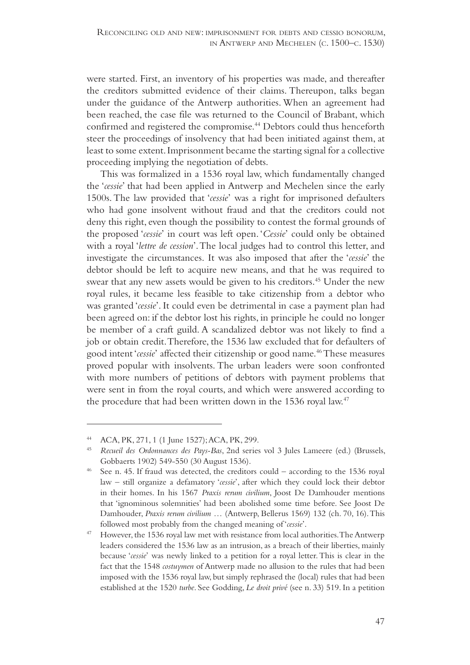were started. First, an inventory of his properties was made, and thereafter the creditors submitted evidence of their claims. Thereupon, talks began under the guidance of the Antwerp authorities. When an agreement had been reached, the case file was returned to the Council of Brabant, which confirmed and registered the compromise.<sup>44</sup> Debtors could thus henceforth steer the proceedings of insolvency that had been initiated against them, at least to some extent. Imprisonment became the starting signal for a collective proceeding implying the negotiation of debts.

This was formalized in a 1536 royal law, which fundamentally changed the '*cessie*' that had been applied in Antwerp and Mechelen since the early 1500s. The law provided that '*cessie*' was a right for imprisoned defaulters who had gone insolvent without fraud and that the creditors could not deny this right, even though the possibility to contest the formal grounds of the proposed '*cessie*' in court was left open. '*Cessie*' could only be obtained with a royal '*lettre de cession*'. The local judges had to control this letter, and investigate the circumstances. It was also imposed that after the '*cessie*' the debtor should be left to acquire new means, and that he was required to swear that any new assets would be given to his creditors.<sup>45</sup> Under the new royal rules, it became less feasible to take citizenship from a debtor who was granted '*cessie*'. It could even be detrimental in case a payment plan had been agreed on: if the debtor lost his rights, in principle he could no longer be member of a craft guild. A scandalized debtor was not likely to find a job or obtain credit. Therefore, the 1536 law excluded that for defaulters of good intent '*cessie*' affected their citizenship or good name.46 These measures proved popular with insolvents. The urban leaders were soon confronted with more numbers of petitions of debtors with payment problems that were sent in from the royal courts, and which were answered according to the procedure that had been written down in the 1536 royal law.<sup>47</sup>

<sup>44</sup> ACA, PK, 271, 1 (1 June 1527); ACA, PK, 299. 45 *Recueil des Ordonnances des Pays-Bas*, 2nd series vol 3 Jules Lameere (ed.) (Brussels, Gobbaerts 1902) 549-550 (30 August 1536).<br>See n. 45. If fraud was detected, the creditors could – according to the 1536 royal

law – still organize a defamatory '*cessie*', after which they could lock their debtor in their homes. In his 1567 *Praxis rerum civilium*, Joost De Damhouder mentions that 'ignominous solemnities' had been abolished some time before. See Joost De Damhouder, *Praxis rerum civilium …* (Antwerp, Bellerus 1569) 132 (ch. 70, 16). This followed most probably from the changed meaning of '*cessie*'.

<sup>47</sup> However, the 1536 royal law met with resistance from local authorities. The Antwerp leaders considered the 1536 law as an intrusion, as a breach of their liberties, mainly because '*cessie*' was newly linked to a petition for a royal letter. This is clear in the fact that the 1548 *costuymen* of Antwerp made no allusion to the rules that had been imposed with the 1536 royal law, but simply rephrased the (local) rules that had been established at the 1520 *turbe*. See Godding, *Le droit privé* (see n. 33) 519. In a petition